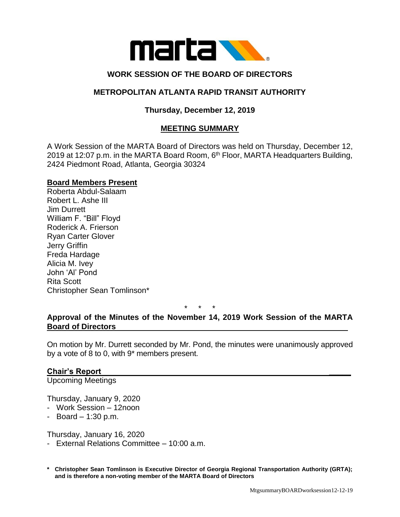

# **WORK SESSION OF THE BOARD OF DIRECTORS**

### **METROPOLITAN ATLANTA RAPID TRANSIT AUTHORITY**

## **Thursday, December 12, 2019**

### **MEETING SUMMARY**

A Work Session of the MARTA Board of Directors was held on Thursday, December 12, 2019 at 12:07 p.m. in the MARTA Board Room, 6<sup>th</sup> Floor, MARTA Headquarters Building, 2424 Piedmont Road, Atlanta, Georgia 30324

#### **Board Members Present**

Roberta Abdul-Salaam Robert L. Ashe III Jim Durrett William F. "Bill" Floyd Roderick A. Frierson Ryan Carter Glover Jerry Griffin Freda Hardage Alicia M. Ivey John 'Al' Pond Rita Scott Christopher Sean Tomlinson\*

\* \* \*

### **Approval of the Minutes of the November 14, 2019 Work Session of the MARTA Board of Directors**

On motion by Mr. Durrett seconded by Mr. Pond, the minutes were unanimously approved by a vote of 8 to 0, with 9\* members present.

### **Chair's Report \_\_\_\_\_**

Upcoming Meetings

Thursday, January 9, 2020

- Work Session 12noon
- $-$  Board  $-$  1:30 p.m.

Thursday, January 16, 2020

- External Relations Committee 10:00 a.m.
- **\* Christopher Sean Tomlinson is Executive Director of Georgia Regional Transportation Authority (GRTA); and is therefore a non-voting member of the MARTA Board of Directors**